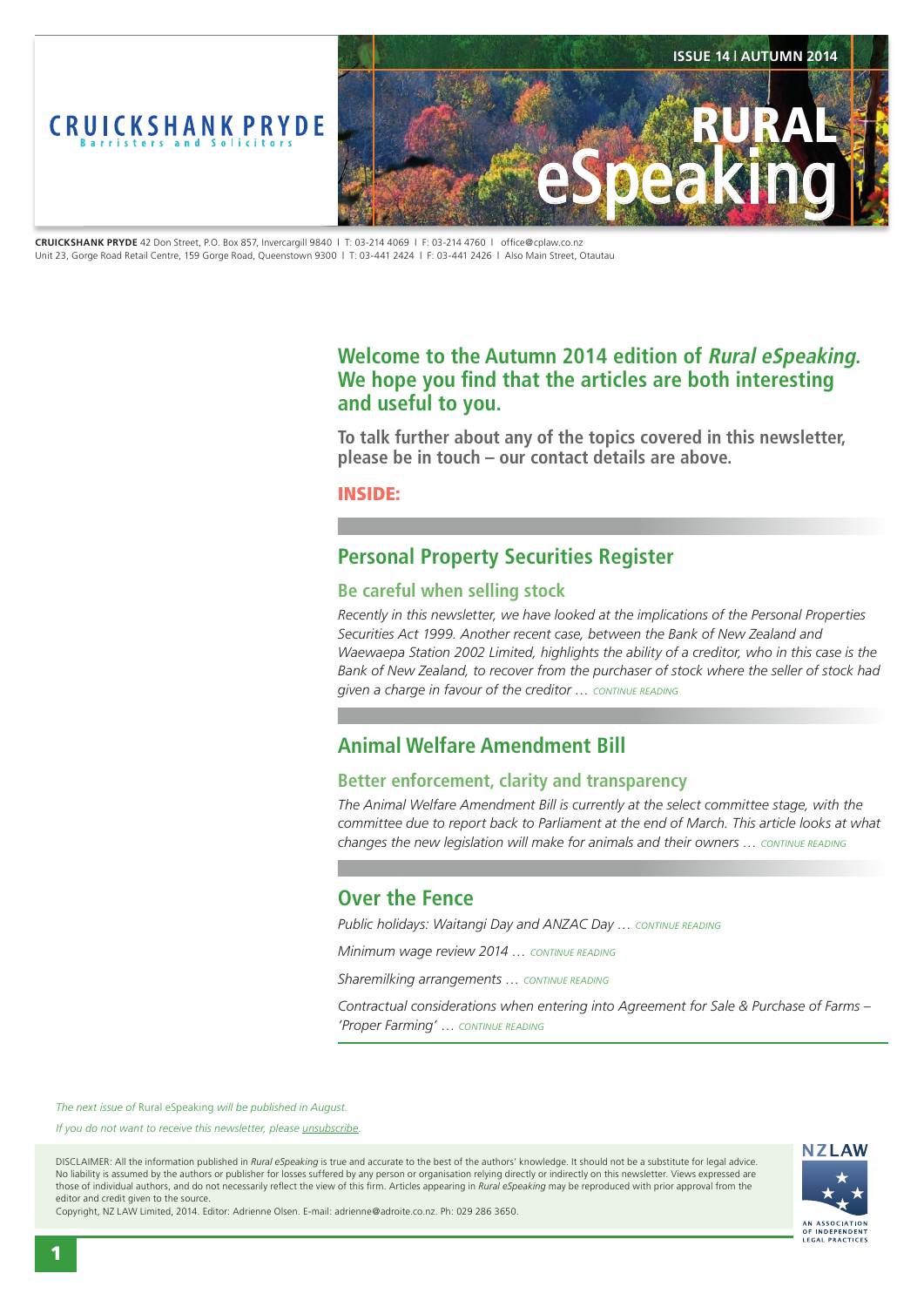

**CRUICKSHANK PRYDE** 42 Don Street, P.O. Box 857, Invercargill 9840 | T: 03-214 4069 | F: 03-214 4760 | office@cplaw.co.nz Unit 23, Gorge Road Retail Centre, 159 Gorge Road, Queenstown 9300 | T: 03-441 2424 | F: 03-441 2426 | Also Main Street, Otautau

## **Welcome to the Autumn 2014 edition of Rural eSpeaking.**  We hope you find that the articles are both interesting **and useful to you.**

**To talk further about any of the topics covered in this newsletter, please be in touch – our contact details are above.**

INSIDE:

# **Personal Property Securities Register**

### **Be careful when selling stock**

*Recently in this newsletter, we have looked at the implications of the Personal Properties Securities Act 1999. Another recent case, between the Bank of New Zealand and Waewaepa Station 2002 Limited, highlights the ability of a creditor, who in this case is the Bank of New Zealand, to recover from the purchaser of stock where the seller of stock had given a charge in favour of the creditor … CONTINUE READING*

# **Animal Welfare Amendment Bill**

## **Better enforcement, clarity and transparency**

*The Animal Welfare Amendment Bill is currently at the select committee stage, with the committee due to report back to Parliament at the end of March. This article looks at what changes the new legislation will make for animals and their owners … CONTINUE READING*

## **Over the Fence**

*Public holidays: Waitangi Day and ANZAC Day … CONTINUE READING*

*Minimum wage review 2014 … CONTINUE READING*

*Sharemilking arrangements … CONTINUE READING*

*Contractual considerations when entering into Agreement for Sale & Purchase of Farms – 'Proper Farming'* … *CONTINUE READING*

*The next issue of* Rural eSpeaking *will be published in August.*

*If you do not want to receive this newsletter, please unsubscribe.*

DISCLAIMER: All the information published in *Rural eSpeaking* is true and accurate to the best of the authors' knowledge. It should not be a substitute for legal advice. No liability is assumed by the authors or publisher for losses suffered by any person or organisation relying directly or indirectly on this newsletter. Views expressed are those of individual authors, and do not necessarily reflect the view of this firm. Articles appearing in *Rural eSpeaking* may be reproduced with prior approval from the editor and credit given to the source.

Copyright, NZ LAW Limited, 2014. Editor: Adrienne Olsen. E-mail: adrienne@adroite.co.nz. Ph: 029 286 3650.

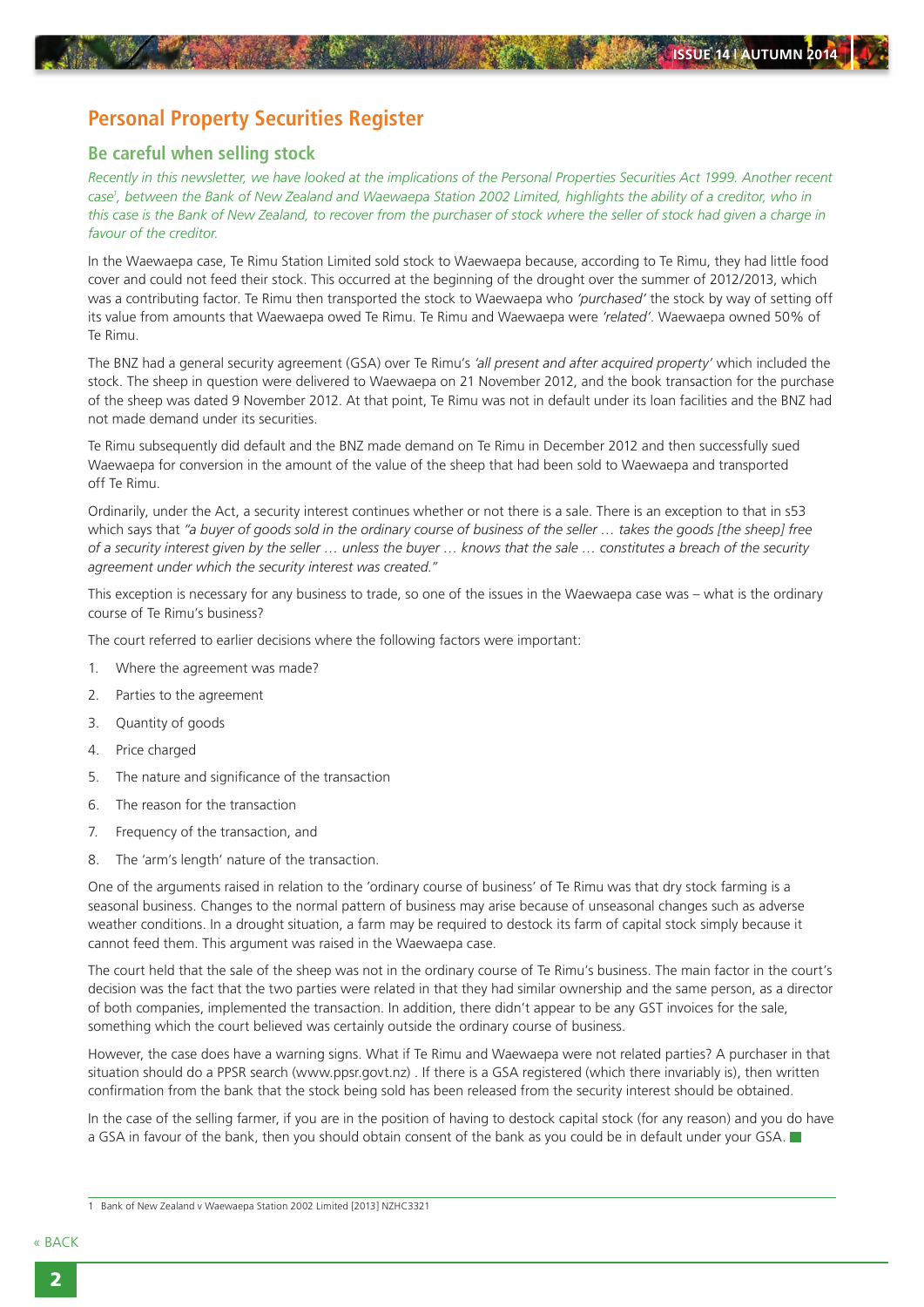# **Personal Property Securities Register**

### **Be careful when selling stock**

*Recently in this newsletter, we have looked at the implications of the Personal Properties Securities Act 1999. Another recent case1 , between the Bank of New Zealand and Waewaepa Station 2002 Limited, highlights the ability of a creditor, who in this case is the Bank of New Zealand, to recover from the purchaser of stock where the seller of stock had given a charge in favour of the creditor.*

In the Waewaepa case, Te Rimu Station Limited sold stock to Waewaepa because, according to Te Rimu, they had little food cover and could not feed their stock. This occurred at the beginning of the drought over the summer of 2012/2013, which was a contributing factor. Te Rimu then transported the stock to Waewaepa who *'purchased'* the stock by way of setting off its value from amounts that Waewaepa owed Te Rimu. Te Rimu and Waewaepa were *'related'*. Waewaepa owned 50% of Te Rimu.

The BNZ had a general security agreement (GSA) over Te Rimu's *'all present and after acquired property'* which included the stock. The sheep in question were delivered to Waewaepa on 21 November 2012, and the book transaction for the purchase of the sheep was dated 9 November 2012. At that point, Te Rimu was not in default under its loan facilities and the BNZ had not made demand under its securities.

Te Rimu subsequently did default and the BNZ made demand on Te Rimu in December 2012 and then successfully sued Waewaepa for conversion in the amount of the value of the sheep that had been sold to Waewaepa and transported off Te Rimu.

Ordinarily, under the Act, a security interest continues whether or not there is a sale. There is an exception to that in s53 which says that *"a buyer of goods sold in the ordinary course of business of the seller … takes the goods [the sheep] free of a security interest given by the seller … unless the buyer … knows that the sale … constitutes a breach of the security agreement under which the security interest was created."*

This exception is necessary for any business to trade, so one of the issues in the Waewaepa case was – what is the ordinary course of Te Rimu's business?

The court referred to earlier decisions where the following factors were important:

- 1. Where the agreement was made?
- 2. Parties to the agreement
- 3. Quantity of goods
- 4. Price charged
- 5. The nature and significance of the transaction
- 6. The reason for the transaction
- 7. Frequency of the transaction, and
- 8. The 'arm's length' nature of the transaction.

One of the arguments raised in relation to the 'ordinary course of business' of Te Rimu was that dry stock farming is a seasonal business. Changes to the normal pattern of business may arise because of unseasonal changes such as adverse weather conditions. In a drought situation, a farm may be required to destock its farm of capital stock simply because it cannot feed them. This argument was raised in the Waewaepa case.

The court held that the sale of the sheep was not in the ordinary course of Te Rimu's business. The main factor in the court's decision was the fact that the two parties were related in that they had similar ownership and the same person, as a director of both companies, implemented the transaction. In addition, there didn't appear to be any GST invoices for the sale, something which the court believed was certainly outside the ordinary course of business.

However, the case does have a warning signs. What if Te Rimu and Waewaepa were not related parties? A purchaser in that situation should do a PPSR search (www.ppsr.govt.nz) . If there is a GSA registered (which there invariably is), then written confirmation from the bank that the stock being sold has been released from the security interest should be obtained.

In the case of the selling farmer, if you are in the position of having to destock capital stock (for any reason) and you do have a GSA in favour of the bank, then you should obtain consent of the bank as you could be in default under your GSA.

<sup>1</sup> Bank of New Zealand v Waewaepa Station 2002 Limited [2013] NZHC3321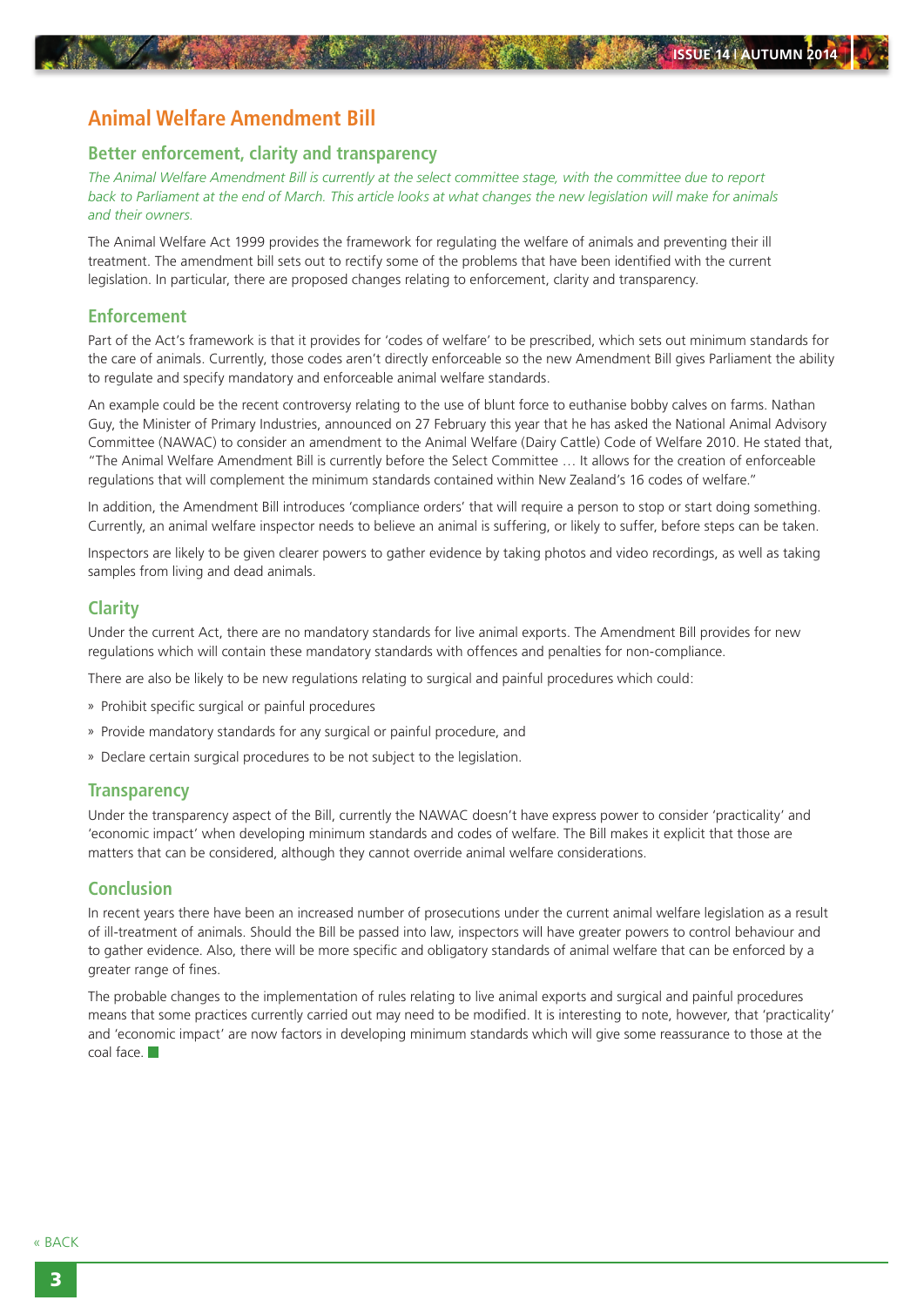# **Animal Welfare Amendment Bill**

#### **Better enforcement, clarity and transparency**

*The Animal Welfare Amendment Bill is currently at the select committee stage, with the committee due to report back to Parliament at the end of March. This article looks at what changes the new legislation will make for animals and their owners.*

The Animal Welfare Act 1999 provides the framework for regulating the welfare of animals and preventing their ill treatment. The amendment bill sets out to rectify some of the problems that have been identified with the current legislation. In particular, there are proposed changes relating to enforcement, clarity and transparency.

#### **Enforcement**

Part of the Act's framework is that it provides for 'codes of welfare' to be prescribed, which sets out minimum standards for the care of animals. Currently, those codes aren't directly enforceable so the new Amendment Bill gives Parliament the ability to regulate and specify mandatory and enforceable animal welfare standards.

An example could be the recent controversy relating to the use of blunt force to euthanise bobby calves on farms. Nathan Guy, the Minister of Primary Industries, announced on 27 February this year that he has asked the National Animal Advisory Committee (NAWAC) to consider an amendment to the Animal Welfare (Dairy Cattle) Code of Welfare 2010. He stated that, "The Animal Welfare Amendment Bill is currently before the Select Committee … It allows for the creation of enforceable regulations that will complement the minimum standards contained within New Zealand's 16 codes of welfare."

In addition, the Amendment Bill introduces 'compliance orders' that will require a person to stop or start doing something. Currently, an animal welfare inspector needs to believe an animal is suffering, or likely to suffer, before steps can be taken.

Inspectors are likely to be given clearer powers to gather evidence by taking photos and video recordings, as well as taking samples from living and dead animals.

#### **Clarity**

Under the current Act, there are no mandatory standards for live animal exports. The Amendment Bill provides for new regulations which will contain these mandatory standards with offences and penalties for non-compliance.

There are also be likely to be new regulations relating to surgical and painful procedures which could:

- » Prohibit specific surgical or painful procedures
- » Provide mandatory standards for any surgical or painful procedure, and
- » Declare certain surgical procedures to be not subject to the legislation.

#### **Transparency**

Under the transparency aspect of the Bill, currently the NAWAC doesn't have express power to consider 'practicality' and 'economic impact' when developing minimum standards and codes of welfare. The Bill makes it explicit that those are matters that can be considered, although they cannot override animal welfare considerations.

#### **Conclusion**

In recent years there have been an increased number of prosecutions under the current animal welfare legislation as a result of ill-treatment of animals. Should the Bill be passed into law, inspectors will have greater powers to control behaviour and to gather evidence. Also, there will be more specific and obligatory standards of animal welfare that can be enforced by a greater range of fines.

The probable changes to the implementation of rules relating to live animal exports and surgical and painful procedures means that some practices currently carried out may need to be modified. It is interesting to note, however, that 'practicality' and 'economic impact' are now factors in developing minimum standards which will give some reassurance to those at the coal face.